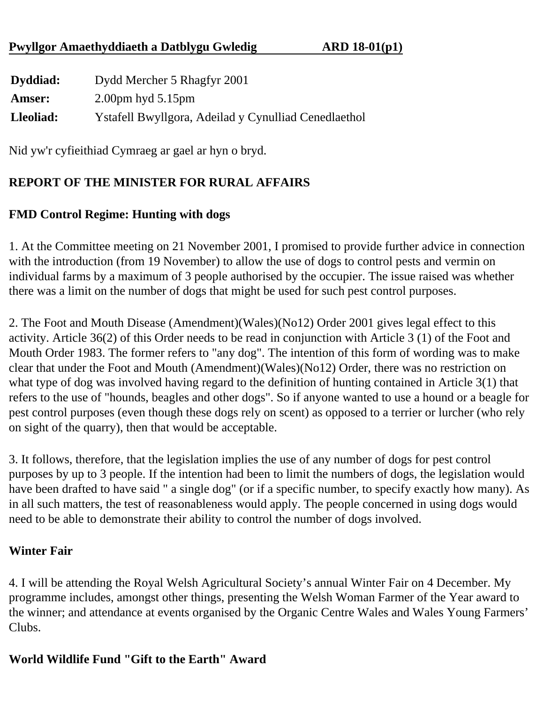### **Pwyllgor Amaethyddiaeth a Datblygu Gwledig ARD 18-01(p1)**

| Dyddiad:      | Dydd Mercher 5 Rhagfyr 2001                          |
|---------------|------------------------------------------------------|
| <b>Amser:</b> | $2.00 \text{pm}$ hyd $5.15 \text{pm}$                |
| Lleoliad:     | Ystafell Bwyllgora, Adeilad y Cynulliad Cenedlaethol |

Nid yw'r cyfieithiad Cymraeg ar gael ar hyn o bryd.

# **REPORT OF THE MINISTER FOR RURAL AFFAIRS**

## **FMD Control Regime: Hunting with dogs**

1. At the Committee meeting on 21 November 2001, I promised to provide further advice in connection with the introduction (from 19 November) to allow the use of dogs to control pests and vermin on individual farms by a maximum of 3 people authorised by the occupier. The issue raised was whether there was a limit on the number of dogs that might be used for such pest control purposes.

2. The Foot and Mouth Disease (Amendment)(Wales)(No12) Order 2001 gives legal effect to this activity. Article 36(2) of this Order needs to be read in conjunction with Article 3 (1) of the Foot and Mouth Order 1983. The former refers to "any dog". The intention of this form of wording was to make clear that under the Foot and Mouth (Amendment)(Wales)(No12) Order, there was no restriction on what type of dog was involved having regard to the definition of hunting contained in Article 3(1) that refers to the use of "hounds, beagles and other dogs". So if anyone wanted to use a hound or a beagle for pest control purposes (even though these dogs rely on scent) as opposed to a terrier or lurcher (who rely on sight of the quarry), then that would be acceptable.

3. It follows, therefore, that the legislation implies the use of any number of dogs for pest control purposes by up to 3 people. If the intention had been to limit the numbers of dogs, the legislation would have been drafted to have said " a single dog" (or if a specific number, to specify exactly how many). As in all such matters, the test of reasonableness would apply. The people concerned in using dogs would need to be able to demonstrate their ability to control the number of dogs involved.

#### **Winter Fair**

4. I will be attending the Royal Welsh Agricultural Society's annual Winter Fair on 4 December. My programme includes, amongst other things, presenting the Welsh Woman Farmer of the Year award to the winner; and attendance at events organised by the Organic Centre Wales and Wales Young Farmers' Clubs.

## **World Wildlife Fund "Gift to the Earth" Award**